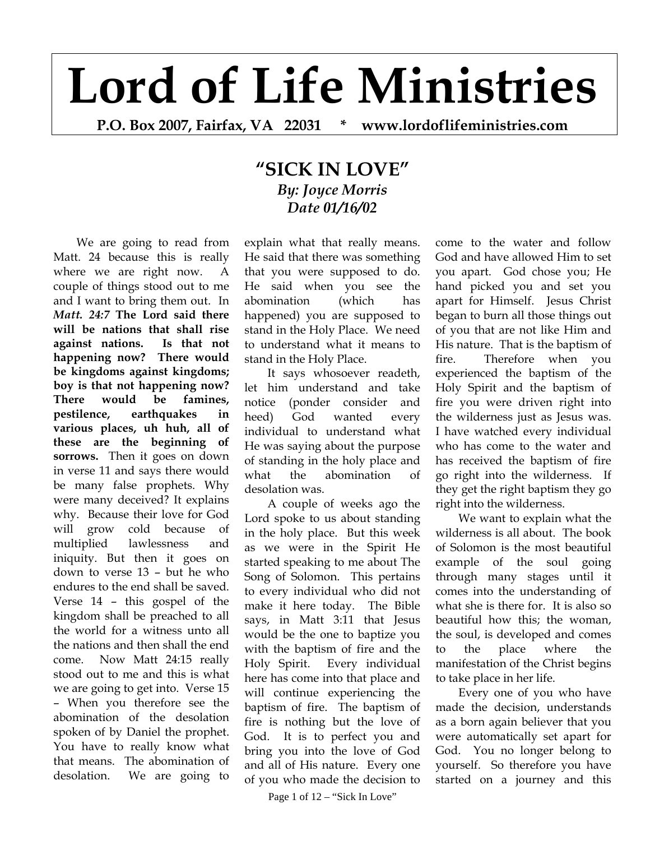## **Lord of Life Ministries**

**P.O. Box 2007, Fairfax, VA 22031 \* www.lordoflifeministries.com** 

## **"SICK IN LOVE"**  *By: Joyce Morris Date 01/16/02*

We are going to read from Matt. 24 because this is really where we are right now. A couple of things stood out to me and I want to bring them out. In *Matt. 24:7* **The Lord said there will be nations that shall rise against nations. Is that not happening now? There would be kingdoms against kingdoms; boy is that not happening now? There would be famines, pestilence, earthquakes in various places, uh huh, all of these are the beginning of sorrows.** Then it goes on down in verse 11 and says there would be many false prophets. Why were many deceived? It explains why. Because their love for God will grow cold because of multiplied lawlessness and iniquity. But then it goes on down to verse 13 – but he who endures to the end shall be saved. Verse 14 – this gospel of the kingdom shall be preached to all the world for a witness unto all the nations and then shall the end come. Now Matt 24:15 really stood out to me and this is what we are going to get into. Verse 15 – When you therefore see the abomination of the desolation spoken of by Daniel the prophet. You have to really know what that means. The abomination of desolation. We are going to

explain what that really means. He said that there was something that you were supposed to do. He said when you see the abomination (which has happened) you are supposed to stand in the Holy Place. We need to understand what it means to stand in the Holy Place.

It says whosoever readeth, let him understand and take notice (ponder consider and heed) God wanted every individual to understand what He was saying about the purpose of standing in the holy place and what the abomination of desolation was.

A couple of weeks ago the Lord spoke to us about standing in the holy place. But this week as we were in the Spirit He started speaking to me about The Song of Solomon. This pertains to every individual who did not make it here today. The Bible says, in Matt 3:11 that Jesus would be the one to baptize you with the baptism of fire and the Holy Spirit. Every individual here has come into that place and will continue experiencing the baptism of fire. The baptism of fire is nothing but the love of God. It is to perfect you and bring you into the love of God and all of His nature. Every one of you who made the decision to

come to the water and follow God and have allowed Him to set you apart. God chose you; He hand picked you and set you apart for Himself. Jesus Christ began to burn all those things out of you that are not like Him and His nature. That is the baptism of fire. Therefore when you experienced the baptism of the Holy Spirit and the baptism of fire you were driven right into the wilderness just as Jesus was. I have watched every individual who has come to the water and has received the baptism of fire go right into the wilderness. If they get the right baptism they go right into the wilderness.

We want to explain what the wilderness is all about. The book of Solomon is the most beautiful example of the soul going through many stages until it comes into the understanding of what she is there for. It is also so beautiful how this; the woman, the soul, is developed and comes to the place where the manifestation of the Christ begins to take place in her life.

Every one of you who have made the decision, understands as a born again believer that you were automatically set apart for God. You no longer belong to yourself. So therefore you have started on a journey and this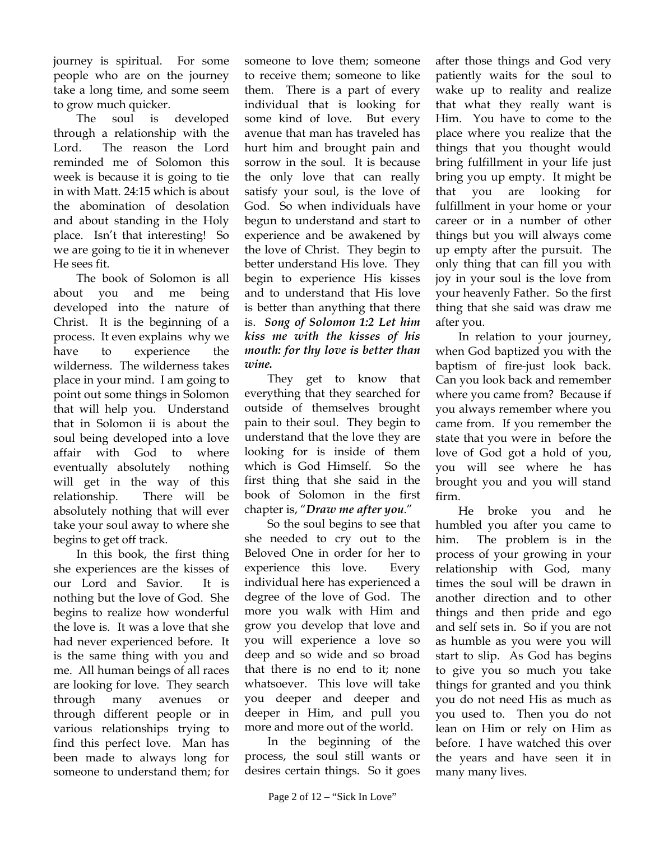journey is spiritual. For some people who are on the journey take a long time, and some seem to grow much quicker.

The soul is developed through a relationship with the Lord. The reason the Lord reminded me of Solomon this week is because it is going to tie in with Matt. 24:15 which is about the abomination of desolation and about standing in the Holy place. Isn't that interesting! So we are going to tie it in whenever He sees fit.

The book of Solomon is all about you and me being developed into the nature of Christ. It is the beginning of a process. It even explains why we have to experience the wilderness. The wilderness takes place in your mind. I am going to point out some things in Solomon that will help you. Understand that in Solomon ii is about the soul being developed into a love affair with God to where eventually absolutely nothing will get in the way of this relationship. There will be absolutely nothing that will ever take your soul away to where she begins to get off track.

In this book, the first thing she experiences are the kisses of our Lord and Savior. It is nothing but the love of God. She begins to realize how wonderful the love is. It was a love that she had never experienced before. It is the same thing with you and me. All human beings of all races are looking for love. They search through many avenues or through different people or in various relationships trying to find this perfect love. Man has been made to always long for someone to understand them; for

someone to love them; someone to receive them; someone to like them. There is a part of every individual that is looking for some kind of love. But every avenue that man has traveled has hurt him and brought pain and sorrow in the soul. It is because the only love that can really satisfy your soul, is the love of God. So when individuals have begun to understand and start to experience and be awakened by the love of Christ. They begin to better understand His love. They begin to experience His kisses and to understand that His love is better than anything that there is. *Song of Solomon 1:2 Let him kiss me with the kisses of his mouth: for thy love is better than wine.* 

They get to know that everything that they searched for outside of themselves brought pain to their soul. They begin to understand that the love they are looking for is inside of them which is God Himself. So the first thing that she said in the book of Solomon in the first chapter is, "*Draw me after you*."

So the soul begins to see that she needed to cry out to the Beloved One in order for her to experience this love. Every individual here has experienced a degree of the love of God. The more you walk with Him and grow you develop that love and you will experience a love so deep and so wide and so broad that there is no end to it; none whatsoever. This love will take you deeper and deeper and deeper in Him, and pull you more and more out of the world.

In the beginning of the process, the soul still wants or desires certain things. So it goes

after those things and God very patiently waits for the soul to wake up to reality and realize that what they really want is Him. You have to come to the place where you realize that the things that you thought would bring fulfillment in your life just bring you up empty. It might be that you are looking for fulfillment in your home or your career or in a number of other things but you will always come up empty after the pursuit. The only thing that can fill you with joy in your soul is the love from your heavenly Father. So the first thing that she said was draw me after you.

In relation to your journey, when God baptized you with the baptism of fire-just look back. Can you look back and remember where you came from? Because if you always remember where you came from. If you remember the state that you were in before the love of God got a hold of you, you will see where he has brought you and you will stand firm.

He broke you and he humbled you after you came to him. The problem is in the process of your growing in your relationship with God, many times the soul will be drawn in another direction and to other things and then pride and ego and self sets in. So if you are not as humble as you were you will start to slip. As God has begins to give you so much you take things for granted and you think you do not need His as much as you used to. Then you do not lean on Him or rely on Him as before. I have watched this over the years and have seen it in many many lives.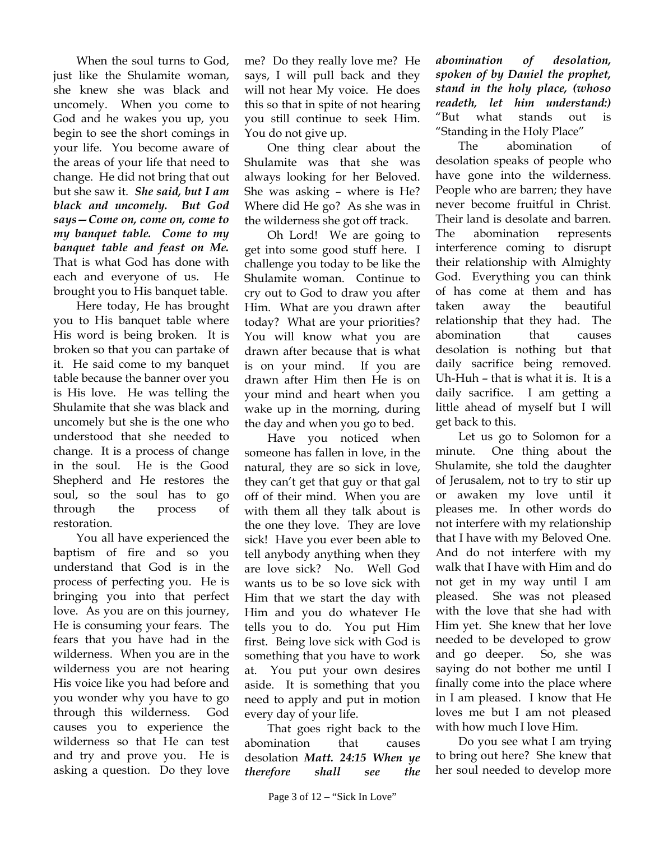When the soul turns to God, just like the Shulamite woman, she knew she was black and uncomely. When you come to God and he wakes you up, you begin to see the short comings in your life. You become aware of the areas of your life that need to change. He did not bring that out but she saw it. *She said, but I am black and uncomely. But God says—Come on, come on, come to my banquet table. Come to my banquet table and feast on Me.* That is what God has done with each and everyone of us. He brought you to His banquet table.

Here today, He has brought you to His banquet table where His word is being broken. It is broken so that you can partake of it. He said come to my banquet table because the banner over you is His love. He was telling the Shulamite that she was black and uncomely but she is the one who understood that she needed to change. It is a process of change in the soul. He is the Good Shepherd and He restores the soul, so the soul has to go through the process of restoration.

You all have experienced the baptism of fire and so you understand that God is in the process of perfecting you. He is bringing you into that perfect love. As you are on this journey, He is consuming your fears. The fears that you have had in the wilderness. When you are in the wilderness you are not hearing His voice like you had before and you wonder why you have to go through this wilderness. God causes you to experience the wilderness so that He can test and try and prove you. He is asking a question. Do they love

me? Do they really love me? He says, I will pull back and they will not hear My voice. He does this so that in spite of not hearing you still continue to seek Him. You do not give up.

One thing clear about the Shulamite was that she was always looking for her Beloved. She was asking – where is He? Where did He go? As she was in the wilderness she got off track.

Oh Lord! We are going to get into some good stuff here. I challenge you today to be like the Shulamite woman. Continue to cry out to God to draw you after Him. What are you drawn after today? What are your priorities? You will know what you are drawn after because that is what is on your mind. If you are drawn after Him then He is on your mind and heart when you wake up in the morning, during the day and when you go to bed.

Have you noticed when someone has fallen in love, in the natural, they are so sick in love, they can't get that guy or that gal off of their mind. When you are with them all they talk about is the one they love. They are love sick! Have you ever been able to tell anybody anything when they are love sick? No. Well God wants us to be so love sick with Him that we start the day with Him and you do whatever He tells you to do. You put Him first. Being love sick with God is something that you have to work at. You put your own desires aside. It is something that you need to apply and put in motion every day of your life.

That goes right back to the abomination that causes desolation *Matt. 24:15 When ye therefore shall see the* *abomination of desolation, spoken of by Daniel the prophet, stand in the holy place, (whoso readeth, let him understand:)* "But what stands out is "Standing in the Holy Place"

The abomination of desolation speaks of people who have gone into the wilderness. People who are barren; they have never become fruitful in Christ. Their land is desolate and barren. The abomination represents interference coming to disrupt their relationship with Almighty God. Everything you can think of has come at them and has taken away the beautiful relationship that they had. The abomination that causes desolation is nothing but that daily sacrifice being removed. Uh-Huh – that is what it is. It is a daily sacrifice. I am getting a little ahead of myself but I will get back to this.

Let us go to Solomon for a minute. One thing about the Shulamite, she told the daughter of Jerusalem, not to try to stir up or awaken my love until it pleases me. In other words do not interfere with my relationship that I have with my Beloved One. And do not interfere with my walk that I have with Him and do not get in my way until I am pleased. She was not pleased with the love that she had with Him yet. She knew that her love needed to be developed to grow and go deeper. So, she was saying do not bother me until I finally come into the place where in I am pleased. I know that He loves me but I am not pleased with how much I love Him.

Do you see what I am trying to bring out here? She knew that her soul needed to develop more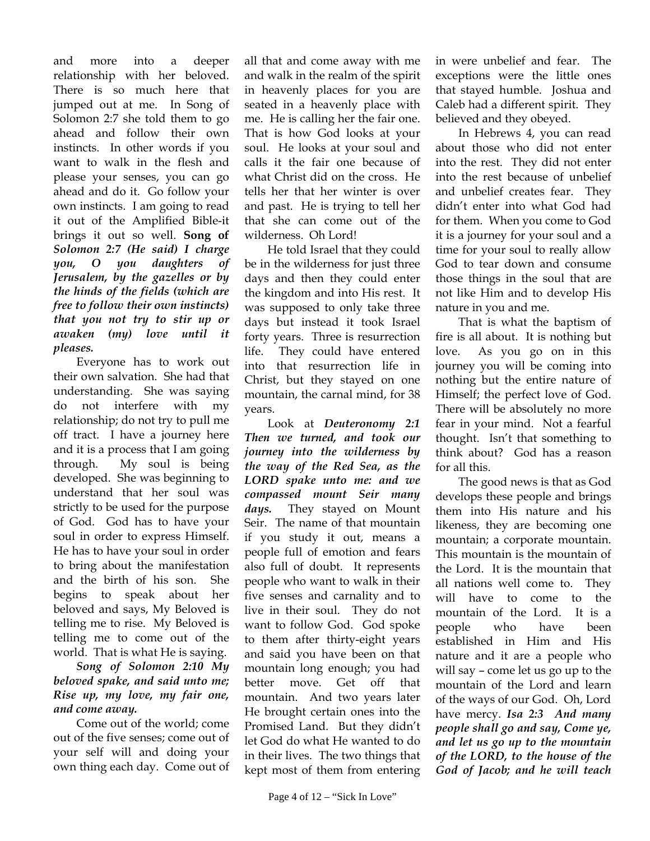and more into a deeper relationship with her beloved. There is so much here that jumped out at me. In Song of Solomon 2:7 she told them to go ahead and follow their own instincts. In other words if you want to walk in the flesh and please your senses, you can go ahead and do it. Go follow your own instincts. I am going to read it out of the Amplified Bible-it brings it out so well. **Song of**  *Solomon 2:7 (He said) I charge you, O you daughters of Jerusalem, by the gazelles or by the hinds of the fields (which are free to follow their own instincts) that you not try to stir up or awaken (my) love until it pleases.*

Everyone has to work out their own salvation. She had that understanding. She was saying do not interfere with my relationship; do not try to pull me off tract. I have a journey here and it is a process that I am going through. My soul is being developed. She was beginning to understand that her soul was strictly to be used for the purpose of God. God has to have your soul in order to express Himself. He has to have your soul in order to bring about the manifestation and the birth of his son. She begins to speak about her beloved and says, My Beloved is telling me to rise. My Beloved is telling me to come out of the world. That is what He is saying.

*Song of Solomon 2:10 My beloved spake, and said unto me; Rise up, my love, my fair one, and come away.* 

Come out of the world; come out of the five senses; come out of your self will and doing your own thing each day. Come out of all that and come away with me and walk in the realm of the spirit in heavenly places for you are seated in a heavenly place with me. He is calling her the fair one. That is how God looks at your soul. He looks at your soul and calls it the fair one because of what Christ did on the cross. He tells her that her winter is over and past. He is trying to tell her that she can come out of the wilderness. Oh Lord!

He told Israel that they could be in the wilderness for just three days and then they could enter the kingdom and into His rest. It was supposed to only take three days but instead it took Israel forty years. Three is resurrection life. They could have entered into that resurrection life in Christ, but they stayed on one mountain, the carnal mind, for 38 years.

Look at *Deuteronomy 2:1 Then we turned, and took our journey into the wilderness by the way of the Red Sea, as the LORD spake unto me: and we compassed mount Seir many days.* They stayed on Mount Seir. The name of that mountain if you study it out, means a people full of emotion and fears also full of doubt. It represents people who want to walk in their five senses and carnality and to live in their soul. They do not want to follow God. God spoke to them after thirty-eight years and said you have been on that mountain long enough; you had better move. Get off that mountain. And two years later He brought certain ones into the Promised Land. But they didn't let God do what He wanted to do in their lives. The two things that kept most of them from entering

in were unbelief and fear. The exceptions were the little ones that stayed humble. Joshua and Caleb had a different spirit. They believed and they obeyed.

In Hebrews 4, you can read about those who did not enter into the rest. They did not enter into the rest because of unbelief and unbelief creates fear. They didn't enter into what God had for them. When you come to God it is a journey for your soul and a time for your soul to really allow God to tear down and consume those things in the soul that are not like Him and to develop His nature in you and me.

That is what the baptism of fire is all about. It is nothing but love. As you go on in this journey you will be coming into nothing but the entire nature of Himself; the perfect love of God. There will be absolutely no more fear in your mind. Not a fearful thought. Isn't that something to think about? God has a reason for all this.

The good news is that as God develops these people and brings them into His nature and his likeness, they are becoming one mountain; a corporate mountain. This mountain is the mountain of the Lord. It is the mountain that all nations well come to. They will have to come to the mountain of the Lord. It is a people who have been established in Him and His nature and it are a people who will say – come let us go up to the mountain of the Lord and learn of the ways of our God. Oh, Lord have mercy. *Isa 2:3 And many people shall go and say, Come ye, and let us go up to the mountain of the LORD, to the house of the God of Jacob; and he will teach*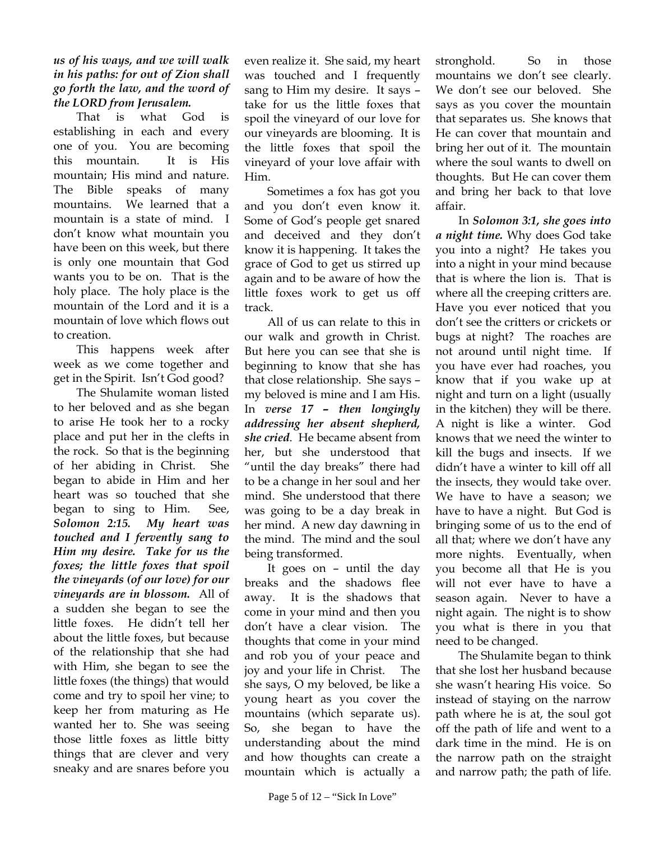## *us of his ways, and we will walk in his paths: for out of Zion shall go forth the law, and the word of the LORD from Jerusalem.*

That is what God is establishing in each and every one of you. You are becoming this mountain. It is His mountain; His mind and nature. The Bible speaks of many mountains. We learned that a mountain is a state of mind. I don't know what mountain you have been on this week, but there is only one mountain that God wants you to be on. That is the holy place. The holy place is the mountain of the Lord and it is a mountain of love which flows out to creation.

This happens week after week as we come together and get in the Spirit. Isn't God good?

The Shulamite woman listed to her beloved and as she began to arise He took her to a rocky place and put her in the clefts in the rock. So that is the beginning of her abiding in Christ. She began to abide in Him and her heart was so touched that she began to sing to Him. See, *Solomon 2:15. My heart was touched and I fervently sang to Him my desire. Take for us the foxes; the little foxes that spoil the vineyards (of our love) for our vineyards are in blossom.* All of a sudden she began to see the little foxes. He didn't tell her about the little foxes, but because of the relationship that she had with Him, she began to see the little foxes (the things) that would come and try to spoil her vine; to keep her from maturing as He wanted her to. She was seeing those little foxes as little bitty things that are clever and very sneaky and are snares before you

even realize it. She said, my heart was touched and I frequently sang to Him my desire. It says – take for us the little foxes that spoil the vineyard of our love for our vineyards are blooming. It is the little foxes that spoil the vineyard of your love affair with Him.

Sometimes a fox has got you and you don't even know it. Some of God's people get snared and deceived and they don't know it is happening. It takes the grace of God to get us stirred up again and to be aware of how the little foxes work to get us off track.

All of us can relate to this in our walk and growth in Christ. But here you can see that she is beginning to know that she has that close relationship. She says – my beloved is mine and I am His. In *verse 17 – then longingly addressing her absent shepherd, she cried*. He became absent from her, but she understood that "until the day breaks" there had to be a change in her soul and her mind. She understood that there was going to be a day break in her mind. A new day dawning in the mind. The mind and the soul being transformed.

It goes on – until the day breaks and the shadows flee away. It is the shadows that come in your mind and then you don't have a clear vision. The thoughts that come in your mind and rob you of your peace and joy and your life in Christ. The she says, O my beloved, be like a young heart as you cover the mountains (which separate us). So, she began to have the understanding about the mind and how thoughts can create a mountain which is actually a

stronghold. So in those mountains we don't see clearly. We don't see our beloved. She says as you cover the mountain that separates us. She knows that He can cover that mountain and bring her out of it. The mountain where the soul wants to dwell on thoughts. But He can cover them and bring her back to that love affair.

In *Solomon 3:1, she goes into a night time.* Why does God take you into a night? He takes you into a night in your mind because that is where the lion is. That is where all the creeping critters are. Have you ever noticed that you don't see the critters or crickets or bugs at night? The roaches are not around until night time. If you have ever had roaches, you know that if you wake up at night and turn on a light (usually in the kitchen) they will be there. A night is like a winter. God knows that we need the winter to kill the bugs and insects. If we didn't have a winter to kill off all the insects, they would take over. We have to have a season; we have to have a night. But God is bringing some of us to the end of all that; where we don't have any more nights. Eventually, when you become all that He is you will not ever have to have a season again. Never to have a night again. The night is to show you what is there in you that need to be changed.

The Shulamite began to think that she lost her husband because she wasn't hearing His voice. So instead of staying on the narrow path where he is at, the soul got off the path of life and went to a dark time in the mind. He is on the narrow path on the straight and narrow path; the path of life.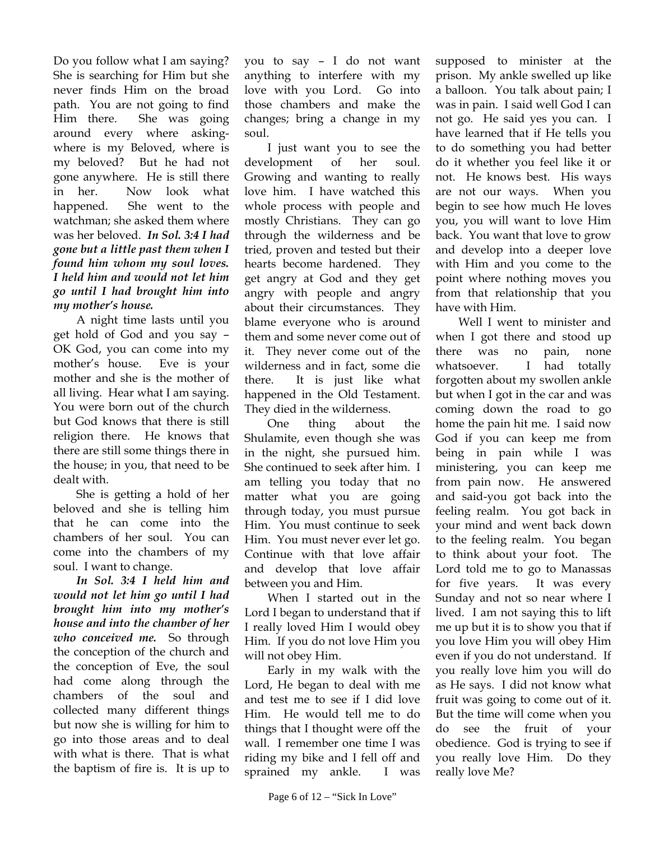Do you follow what I am saying? She is searching for Him but she never finds Him on the broad path. You are not going to find Him there. She was going around every where askingwhere is my Beloved, where is my beloved? But he had not gone anywhere. He is still there in her. Now look what happened. She went to the watchman; she asked them where was her beloved. *In Sol. 3:4 I had gone but a little past them when I found him whom my soul loves. I held him and would not let him go until I had brought him into my mother's house.* 

A night time lasts until you get hold of God and you say – OK God, you can come into my mother's house. Eve is your mother and she is the mother of all living. Hear what I am saying. You were born out of the church but God knows that there is still religion there. He knows that there are still some things there in the house; in you, that need to be dealt with.

She is getting a hold of her beloved and she is telling him that he can come into the chambers of her soul. You can come into the chambers of my soul. I want to change.

*In Sol. 3:4 I held him and would not let him go until I had brought him into my mother's house and into the chamber of her who conceived me.* So through the conception of the church and the conception of Eve, the soul had come along through the chambers of the soul and collected many different things but now she is willing for him to go into those areas and to deal with what is there. That is what the baptism of fire is. It is up to

you to say – I do not want anything to interfere with my love with you Lord. Go into those chambers and make the changes; bring a change in my soul.

I just want you to see the development of her soul. Growing and wanting to really love him. I have watched this whole process with people and mostly Christians. They can go through the wilderness and be tried, proven and tested but their hearts become hardened. They get angry at God and they get angry with people and angry about their circumstances. They blame everyone who is around them and some never come out of it. They never come out of the wilderness and in fact, some die there. It is just like what happened in the Old Testament. They died in the wilderness.

One thing about the Shulamite, even though she was in the night, she pursued him. She continued to seek after him. I am telling you today that no matter what you are going through today, you must pursue Him. You must continue to seek Him. You must never ever let go. Continue with that love affair and develop that love affair between you and Him.

When I started out in the Lord I began to understand that if I really loved Him I would obey Him. If you do not love Him you will not obey Him.

Early in my walk with the Lord, He began to deal with me and test me to see if I did love Him. He would tell me to do things that I thought were off the wall. I remember one time I was riding my bike and I fell off and sprained my ankle. I was

supposed to minister at the prison. My ankle swelled up like a balloon. You talk about pain; I was in pain. I said well God I can not go. He said yes you can. I have learned that if He tells you to do something you had better do it whether you feel like it or not. He knows best. His ways are not our ways. When you begin to see how much He loves you, you will want to love Him back. You want that love to grow and develop into a deeper love with Him and you come to the point where nothing moves you from that relationship that you have with Him.

Well I went to minister and when I got there and stood up there was no pain, none whatsoever. I had totally forgotten about my swollen ankle but when I got in the car and was coming down the road to go home the pain hit me. I said now God if you can keep me from being in pain while I was ministering, you can keep me from pain now. He answered and said-you got back into the feeling realm. You got back in your mind and went back down to the feeling realm. You began to think about your foot. The Lord told me to go to Manassas for five years. It was every Sunday and not so near where I lived. I am not saying this to lift me up but it is to show you that if you love Him you will obey Him even if you do not understand. If you really love him you will do as He says. I did not know what fruit was going to come out of it. But the time will come when you do see the fruit of your obedience. God is trying to see if you really love Him. Do they really love Me?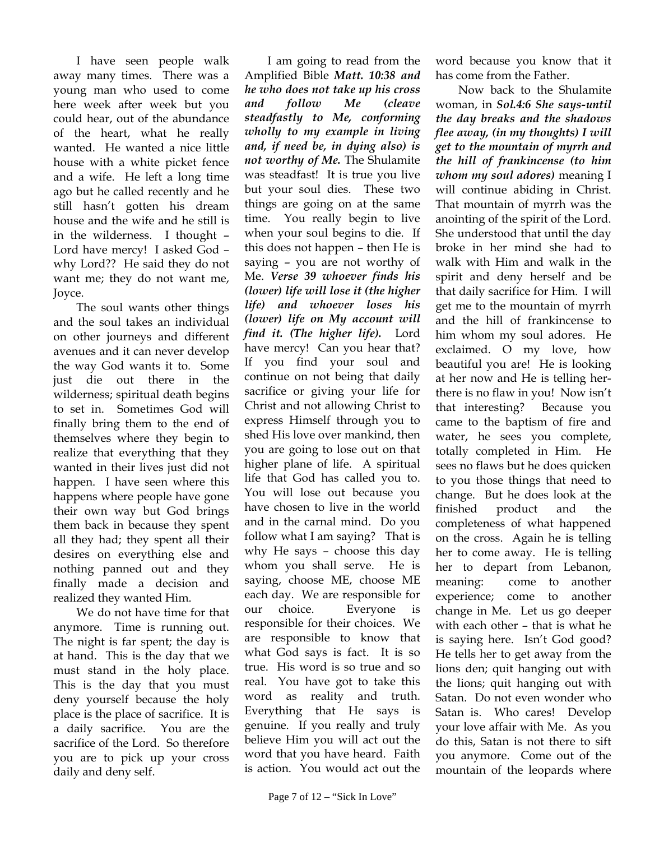I have seen people walk away many times. There was a young man who used to come here week after week but you could hear, out of the abundance of the heart, what he really wanted. He wanted a nice little house with a white picket fence and a wife. He left a long time ago but he called recently and he still hasn't gotten his dream house and the wife and he still is in the wilderness. I thought – Lord have mercy! I asked God – why Lord?? He said they do not want me; they do not want me, Joyce.

The soul wants other things and the soul takes an individual on other journeys and different avenues and it can never develop the way God wants it to. Some just die out there in the wilderness; spiritual death begins to set in. Sometimes God will finally bring them to the end of themselves where they begin to realize that everything that they wanted in their lives just did not happen. I have seen where this happens where people have gone their own way but God brings them back in because they spent all they had; they spent all their desires on everything else and nothing panned out and they finally made a decision and realized they wanted Him.

We do not have time for that anymore. Time is running out. The night is far spent; the day is at hand. This is the day that we must stand in the holy place. This is the day that you must deny yourself because the holy place is the place of sacrifice. It is a daily sacrifice. You are the sacrifice of the Lord. So therefore you are to pick up your cross daily and deny self.

I am going to read from the Amplified Bible *Matt. 10:38 and he who does not take up his cross and follow Me (cleave steadfastly to Me, conforming wholly to my example in living and, if need be, in dying also) is not worthy of Me.* The Shulamite was steadfast! It is true you live but your soul dies. These two things are going on at the same time. You really begin to live when your soul begins to die. If this does not happen – then He is saying – you are not worthy of Me. *Verse 39 whoever finds his (lower) life will lose it (the higher life) and whoever loses his (lower) life on My account will find it. (The higher life).* Lord have mercy! Can you hear that? If you find your soul and continue on not being that daily sacrifice or giving your life for Christ and not allowing Christ to express Himself through you to shed His love over mankind, then you are going to lose out on that higher plane of life. A spiritual life that God has called you to. You will lose out because you have chosen to live in the world and in the carnal mind. Do you follow what I am saying? That is why He says – choose this day whom you shall serve. He is saying, choose ME, choose ME each day. We are responsible for our choice. Everyone is responsible for their choices. We are responsible to know that what God says is fact. It is so true. His word is so true and so real. You have got to take this word as reality and truth. Everything that He says is genuine. If you really and truly believe Him you will act out the word that you have heard. Faith is action. You would act out the

word because you know that it has come from the Father.

Now back to the Shulamite woman, in *Sol.4:6 She says-until the day breaks and the shadows flee away, (in my thoughts) I will get to the mountain of myrrh and the hill of frankincense (to him whom my soul adores)* meaning I will continue abiding in Christ. That mountain of myrrh was the anointing of the spirit of the Lord. She understood that until the day broke in her mind she had to walk with Him and walk in the spirit and deny herself and be that daily sacrifice for Him. I will get me to the mountain of myrrh and the hill of frankincense to him whom my soul adores. He exclaimed. O my love, how beautiful you are! He is looking at her now and He is telling herthere is no flaw in you! Now isn't that interesting? Because you came to the baptism of fire and water, he sees you complete, totally completed in Him. He sees no flaws but he does quicken to you those things that need to change. But he does look at the finished product and the completeness of what happened on the cross. Again he is telling her to come away. He is telling her to depart from Lebanon, meaning: come to another experience; come to another change in Me. Let us go deeper with each other – that is what he is saying here. Isn't God good? He tells her to get away from the lions den; quit hanging out with the lions; quit hanging out with Satan. Do not even wonder who Satan is. Who cares! Develop your love affair with Me. As you do this, Satan is not there to sift you anymore. Come out of the mountain of the leopards where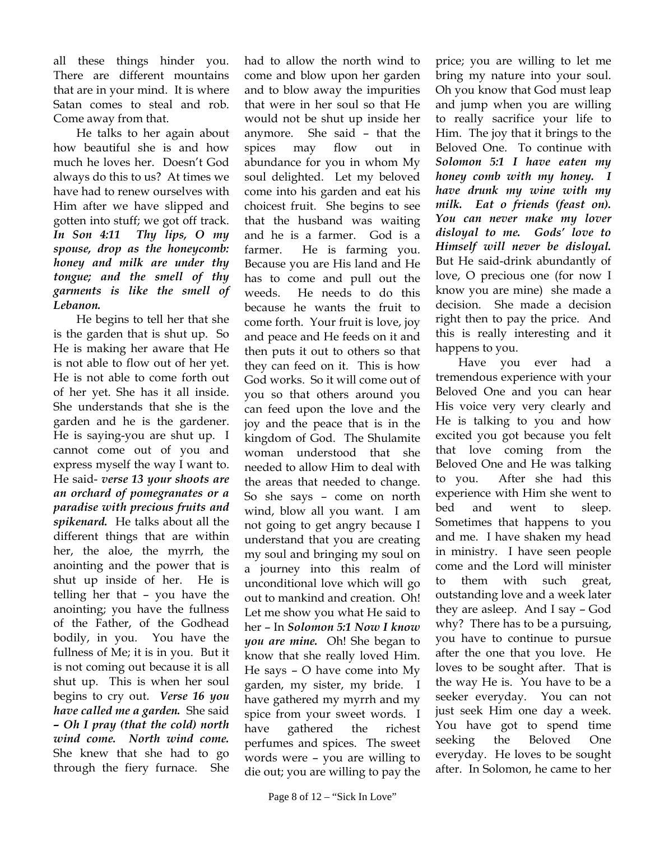all these things hinder you. There are different mountains that are in your mind. It is where Satan comes to steal and rob. Come away from that.

He talks to her again about how beautiful she is and how much he loves her. Doesn't God always do this to us? At times we have had to renew ourselves with Him after we have slipped and gotten into stuff; we got off track. *In Son 4:11 Thy lips, O my spouse, drop as the honeycomb: honey and milk are under thy tongue; and the smell of thy garments is like the smell of Lebanon.*

He begins to tell her that she is the garden that is shut up. So He is making her aware that He is not able to flow out of her yet. He is not able to come forth out of her yet. She has it all inside. She understands that she is the garden and he is the gardener. He is saying-you are shut up. I cannot come out of you and express myself the way I want to. He said- *verse 13 your shoots are an orchard of pomegranates or a paradise with precious fruits and spikenard.* He talks about all the different things that are within her, the aloe, the myrrh, the anointing and the power that is shut up inside of her. He is telling her that – you have the anointing; you have the fullness of the Father, of the Godhead bodily, in you. You have the fullness of Me; it is in you. But it is not coming out because it is all shut up. This is when her soul begins to cry out. *Verse 16 you have called me a garden.* She said *– Oh I pray (that the cold) north wind come. North wind come.* She knew that she had to go through the fiery furnace. She

had to allow the north wind to come and blow upon her garden and to blow away the impurities that were in her soul so that He would not be shut up inside her anymore. She said – that the spices may flow out in abundance for you in whom My soul delighted. Let my beloved come into his garden and eat his choicest fruit. She begins to see that the husband was waiting and he is a farmer. God is a farmer. He is farming you. Because you are His land and He has to come and pull out the weeds. He needs to do this because he wants the fruit to come forth. Your fruit is love, joy and peace and He feeds on it and then puts it out to others so that they can feed on it. This is how God works. So it will come out of you so that others around you can feed upon the love and the joy and the peace that is in the kingdom of God. The Shulamite woman understood that she needed to allow Him to deal with the areas that needed to change. So she says – come on north wind, blow all you want. I am not going to get angry because I understand that you are creating my soul and bringing my soul on a journey into this realm of unconditional love which will go out to mankind and creation. Oh! Let me show you what He said to her – In *Solomon 5:1 Now I know you are mine.* Oh! She began to know that she really loved Him. He says – O have come into My garden, my sister, my bride. I have gathered my myrrh and my spice from your sweet words. I have gathered the richest perfumes and spices. The sweet words were – you are willing to die out; you are willing to pay the

price; you are willing to let me bring my nature into your soul. Oh you know that God must leap and jump when you are willing to really sacrifice your life to Him. The joy that it brings to the Beloved One. To continue with *Solomon 5:1 I have eaten my honey comb with my honey. I have drunk my wine with my milk. Eat o friends (feast on). You can never make my lover disloyal to me. Gods' love to Himself will never be disloyal.* But He said-drink abundantly of love, O precious one (for now I know you are mine) she made a decision. She made a decision right then to pay the price. And this is really interesting and it happens to you.

Have you ever had a tremendous experience with your Beloved One and you can hear His voice very very clearly and He is talking to you and how excited you got because you felt that love coming from the Beloved One and He was talking to you. After she had this experience with Him she went to bed and went to sleep. Sometimes that happens to you and me. I have shaken my head in ministry. I have seen people come and the Lord will minister to them with such great, outstanding love and a week later they are asleep. And I say – God why? There has to be a pursuing, you have to continue to pursue after the one that you love. He loves to be sought after. That is the way He is. You have to be a seeker everyday. You can not just seek Him one day a week. You have got to spend time seeking the Beloved One everyday. He loves to be sought after. In Solomon, he came to her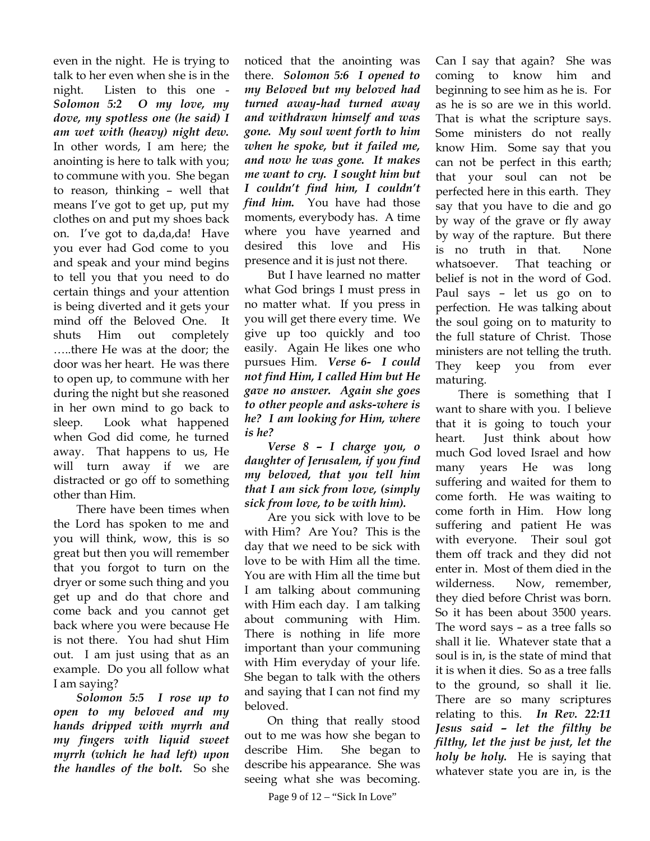even in the night. He is trying to talk to her even when she is in the night. Listen to this one - *Solomon 5:2 O my love, my dove, my spotless one (he said) I am wet with (heavy) night dew.*  In other words, I am here; the anointing is here to talk with you; to commune with you. She began to reason, thinking – well that means I've got to get up, put my clothes on and put my shoes back on. I've got to da,da,da! Have you ever had God come to you and speak and your mind begins to tell you that you need to do certain things and your attention is being diverted and it gets your mind off the Beloved One. It shuts Him out completely …..there He was at the door; the door was her heart. He was there to open up, to commune with her during the night but she reasoned in her own mind to go back to sleep. Look what happened when God did come, he turned away. That happens to us, He will turn away if we are distracted or go off to something other than Him.

There have been times when the Lord has spoken to me and you will think, wow, this is so great but then you will remember that you forgot to turn on the dryer or some such thing and you get up and do that chore and come back and you cannot get back where you were because He is not there. You had shut Him out. I am just using that as an example. Do you all follow what I am saying?

*Solomon 5:5 I rose up to open to my beloved and my hands dripped with myrrh and my fingers with liquid sweet myrrh (which he had left) upon the handles of the bolt.* So she

noticed that the anointing was there. *Solomon 5:6 I opened to my Beloved but my beloved had turned away-had turned away and withdrawn himself and was gone. My soul went forth to him when he spoke, but it failed me, and now he was gone. It makes me want to cry. I sought him but I couldn't find him, I couldn't find him.* You have had those moments, everybody has. A time where you have yearned and desired this love and His presence and it is just not there.

But I have learned no matter what God brings I must press in no matter what. If you press in you will get there every time. We give up too quickly and too easily. Again He likes one who pursues Him. *Verse 6- I could not find Him, I called Him but He gave no answer. Again she goes to other people and asks-where is he? I am looking for Him, where is he?* 

*Verse 8 – I charge you, o daughter of Jerusalem, if you find my beloved, that you tell him that I am sick from love, (simply sick from love, to be with him).* 

Are you sick with love to be with Him? Are You? This is the day that we need to be sick with love to be with Him all the time. You are with Him all the time but I am talking about communing with Him each day. I am talking about communing with Him. There is nothing in life more important than your communing with Him everyday of your life. She began to talk with the others and saying that I can not find my beloved.

On thing that really stood out to me was how she began to describe Him. She began to describe his appearance. She was seeing what she was becoming.

Can I say that again? She was coming to know him and beginning to see him as he is. For as he is so are we in this world. That is what the scripture says. Some ministers do not really know Him. Some say that you can not be perfect in this earth; that your soul can not be perfected here in this earth. They say that you have to die and go by way of the grave or fly away by way of the rapture. But there is no truth in that. None whatsoever. That teaching or belief is not in the word of God. Paul says – let us go on to perfection. He was talking about the soul going on to maturity to the full stature of Christ. Those ministers are not telling the truth. They keep you from ever maturing.

There is something that I want to share with you. I believe that it is going to touch your heart. Just think about how much God loved Israel and how many years He was long suffering and waited for them to come forth. He was waiting to come forth in Him. How long suffering and patient He was with everyone. Their soul got them off track and they did not enter in. Most of them died in the wilderness. Now, remember, they died before Christ was born. So it has been about 3500 years. The word says – as a tree falls so shall it lie. Whatever state that a soul is in, is the state of mind that it is when it dies. So as a tree falls to the ground, so shall it lie. There are so many scriptures relating to this. *In Rev. 22:11 Jesus said – let the filthy be filthy, let the just be just, let the holy be holy.* He is saying that whatever state you are in, is the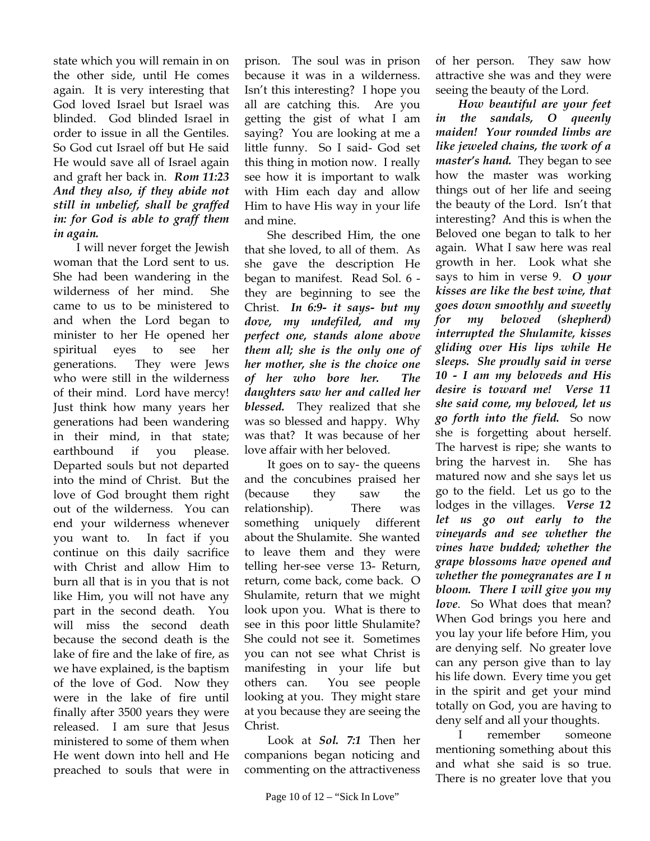state which you will remain in on the other side, until He comes again. It is very interesting that God loved Israel but Israel was blinded. God blinded Israel in order to issue in all the Gentiles. So God cut Israel off but He said He would save all of Israel again and graft her back in. *Rom 11:23 And they also, if they abide not still in unbelief, shall be graffed in: for God is able to graff them in again.* 

I will never forget the Jewish woman that the Lord sent to us. She had been wandering in the wilderness of her mind. She came to us to be ministered to and when the Lord began to minister to her He opened her spiritual eyes to see her generations. They were Jews who were still in the wilderness of their mind. Lord have mercy! Just think how many years her generations had been wandering in their mind, in that state; earthbound if you please. Departed souls but not departed into the mind of Christ. But the love of God brought them right out of the wilderness. You can end your wilderness whenever you want to. In fact if you continue on this daily sacrifice with Christ and allow Him to burn all that is in you that is not like Him, you will not have any part in the second death. You will miss the second death because the second death is the lake of fire and the lake of fire, as we have explained, is the baptism of the love of God. Now they were in the lake of fire until finally after 3500 years they were released. I am sure that Jesus ministered to some of them when He went down into hell and He preached to souls that were in

prison. The soul was in prison because it was in a wilderness. Isn't this interesting? I hope you all are catching this. Are you getting the gist of what I am saying? You are looking at me a little funny. So I said- God set this thing in motion now. I really see how it is important to walk with Him each day and allow Him to have His way in your life and mine.

She described Him, the one that she loved, to all of them. As she gave the description He began to manifest. Read Sol. 6 they are beginning to see the Christ. *In 6:9- it says- but my dove, my undefiled, and my perfect one, stands alone above them all; she is the only one of her mother, she is the choice one of her who bore her. The daughters saw her and called her blessed.* They realized that she was so blessed and happy. Why was that? It was because of her love affair with her beloved.

It goes on to say- the queens and the concubines praised her (because they saw the relationship). There was something uniquely different about the Shulamite. She wanted to leave them and they were telling her-see verse 13- Return, return, come back, come back. O Shulamite, return that we might look upon you. What is there to see in this poor little Shulamite? She could not see it. Sometimes you can not see what Christ is manifesting in your life but others can. You see people looking at you. They might stare at you because they are seeing the Christ.

Look at *Sol. 7:1* Then her companions began noticing and commenting on the attractiveness

of her person. They saw how attractive she was and they were seeing the beauty of the Lord.

*How beautiful are your feet in the sandals, O queenly maiden! Your rounded limbs are like jeweled chains, the work of a master's hand.* They began to see how the master was working things out of her life and seeing the beauty of the Lord. Isn't that interesting? And this is when the Beloved one began to talk to her again. What I saw here was real growth in her. Look what she says to him in verse 9. *O your kisses are like the best wine, that goes down smoothly and sweetly for my beloved (shepherd) interrupted the Shulamite, kisses gliding over His lips while He sleeps. She proudly said in verse 10 - I am my beloveds and His desire is toward me! Verse 11 she said come, my beloved, let us go forth into the field.* So now she is forgetting about herself. The harvest is ripe; she wants to bring the harvest in. She has matured now and she says let us go to the field. Let us go to the lodges in the villages. *Verse 12 let us go out early to the vineyards and see whether the vines have budded; whether the grape blossoms have opened and whether the pomegranates are I n bloom. There I will give you my love*. So What does that mean? When God brings you here and you lay your life before Him, you are denying self. No greater love can any person give than to lay his life down. Every time you get in the spirit and get your mind totally on God, you are having to deny self and all your thoughts.

I remember someone mentioning something about this and what she said is so true. There is no greater love that you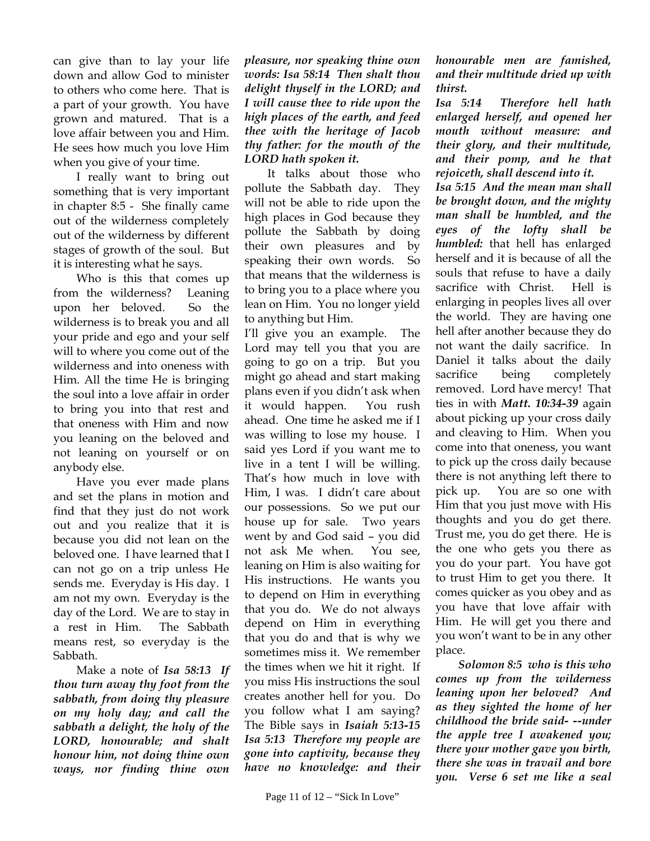can give than to lay your life down and allow God to minister to others who come here. That is a part of your growth. You have grown and matured. That is a love affair between you and Him. He sees how much you love Him when you give of your time.

I really want to bring out something that is very important in chapter 8:5 - She finally came out of the wilderness completely out of the wilderness by different stages of growth of the soul. But it is interesting what he says.

Who is this that comes up from the wilderness? Leaning upon her beloved. So the wilderness is to break you and all your pride and ego and your self will to where you come out of the wilderness and into oneness with Him. All the time He is bringing the soul into a love affair in order to bring you into that rest and that oneness with Him and now you leaning on the beloved and not leaning on yourself or on anybody else.

Have you ever made plans and set the plans in motion and find that they just do not work out and you realize that it is because you did not lean on the beloved one. I have learned that I can not go on a trip unless He sends me. Everyday is His day. I am not my own. Everyday is the day of the Lord. We are to stay in a rest in Him. The Sabbath means rest, so everyday is the Sabbath.

Make a note of *Isa 58:13 If thou turn away thy foot from the sabbath, from doing thy pleasure on my holy day; and call the sabbath a delight, the holy of the LORD, honourable; and shalt honour him, not doing thine own ways, nor finding thine own* 

*pleasure, nor speaking thine own words: Isa 58:14 Then shalt thou delight thyself in the LORD; and I will cause thee to ride upon the high places of the earth, and feed thee with the heritage of Jacob thy father: for the mouth of the LORD hath spoken it.* 

It talks about those who pollute the Sabbath day. They will not be able to ride upon the high places in God because they pollute the Sabbath by doing their own pleasures and by speaking their own words. So that means that the wilderness is to bring you to a place where you lean on Him. You no longer yield to anything but Him.

I'll give you an example. The Lord may tell you that you are going to go on a trip. But you might go ahead and start making plans even if you didn't ask when it would happen. You rush ahead. One time he asked me if I was willing to lose my house. I said yes Lord if you want me to live in a tent I will be willing. That's how much in love with Him, I was. I didn't care about our possessions. So we put our house up for sale. Two years went by and God said – you did not ask Me when. You see, leaning on Him is also waiting for His instructions. He wants you to depend on Him in everything that you do. We do not always depend on Him in everything that you do and that is why we sometimes miss it. We remember the times when we hit it right. If you miss His instructions the soul creates another hell for you. Do you follow what I am saying? The Bible says in *Isaiah 5:13-15 Isa 5:13 Therefore my people are gone into captivity, because they have no knowledge: and their* 

*honourable men are famished, and their multitude dried up with thirst.* 

*Isa 5:14 Therefore hell hath enlarged herself, and opened her mouth without measure: and their glory, and their multitude, and their pomp, and he that rejoiceth, shall descend into it.* 

*Isa 5:15 And the mean man shall be brought down, and the mighty man shall be humbled, and the eyes of the lofty shall be humbled:* that hell has enlarged herself and it is because of all the souls that refuse to have a daily sacrifice with Christ. Hell is enlarging in peoples lives all over the world. They are having one hell after another because they do not want the daily sacrifice. In Daniel it talks about the daily sacrifice being completely removed. Lord have mercy! That ties in with *Matt. 10:34-39* again about picking up your cross daily and cleaving to Him. When you come into that oneness, you want to pick up the cross daily because there is not anything left there to pick up. You are so one with Him that you just move with His thoughts and you do get there. Trust me, you do get there. He is the one who gets you there as you do your part. You have got to trust Him to get you there. It comes quicker as you obey and as you have that love affair with Him. He will get you there and you won't want to be in any other place.

*Solomon 8:5 who is this who comes up from the wilderness leaning upon her beloved? And as they sighted the home of her childhood the bride said- --under the apple tree I awakened you; there your mother gave you birth, there she was in travail and bore you. Verse 6 set me like a seal*